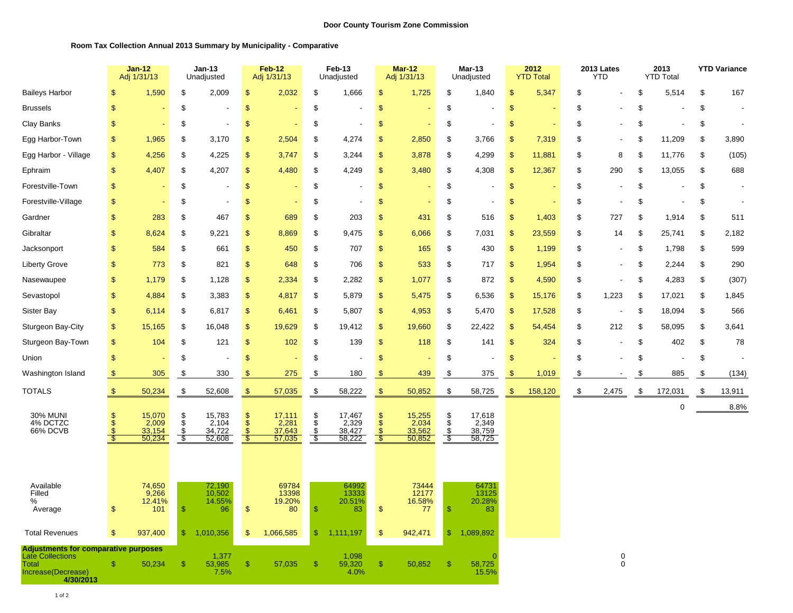## **Room Tax Collection Annual 2013 Summary by Municipality - Comparative**

|                                                                                                             |                                | $Jan-12$<br>Adj 1/31/13             |                       | <b>Jan-13</b><br>Unadjusted         |                                                 | <b>Feb-12</b><br>Adj 1/31/13        |                                | Feb-13<br>Unadjusted                |                                                                   | <b>Mar-12</b><br>Adj 1/31/13        |                               | Mar-13<br>Unadjusted                |                | 2012<br><b>YTD Total</b> | 2013 Lates<br><b>YTD</b> |                  | 2013<br><b>YTD Total</b> |             | <b>YTD Variance</b> |                          |
|-------------------------------------------------------------------------------------------------------------|--------------------------------|-------------------------------------|-----------------------|-------------------------------------|-------------------------------------------------|-------------------------------------|--------------------------------|-------------------------------------|-------------------------------------------------------------------|-------------------------------------|-------------------------------|-------------------------------------|----------------|--------------------------|--------------------------|------------------|--------------------------|-------------|---------------------|--------------------------|
| <b>Baileys Harbor</b>                                                                                       | $\mathfrak{s}$                 | 1,590                               | \$                    | 2,009                               | $\mathsf{\$}$                                   | 2,032                               | \$                             | 1,666                               | $\frac{1}{2}$                                                     | 1,725                               | \$                            | 1,840                               | $\mathcal{S}$  | 5,347                    | \$                       |                  | \$                       | 5,514       | \$                  | 167                      |
| <b>Brussels</b>                                                                                             | $\mathsf{\$}$                  |                                     | \$                    |                                     | \$                                              |                                     | \$                             |                                     | $\boldsymbol{\mathsf{S}}$                                         |                                     | \$                            |                                     | $\sqrt{2}$     |                          | \$                       |                  | \$                       |             | \$                  |                          |
| Clay Banks                                                                                                  | $\mathbf{S}$                   |                                     | \$                    | $\overline{\phantom{a}}$            | \$                                              | ٠                                   | \$                             | $\overline{\phantom{a}}$            | $\boldsymbol{\mathsf{S}}$                                         |                                     | \$                            | $\overline{\phantom{a}}$            | $\mathsf{\$}$  | ÷                        | \$                       |                  | \$                       |             | \$                  | $\overline{\phantom{a}}$ |
| Egg Harbor-Town                                                                                             | $\mathfrak{s}$                 | 1,965                               | \$                    | 3,170                               | \$                                              | 2,504                               | \$                             | 4,274                               | $\sqrt{3}$                                                        | 2,850                               | \$                            | 3,766                               | $\mathfrak{s}$ | 7,319                    | \$                       |                  | S                        | 11,209      | \$                  | 3,890                    |
| Egg Harbor - Village                                                                                        | <sub>\$</sub>                  | 4,256                               | \$                    | 4,225                               | $\mathbf{\$}$                                   | 3,747                               | \$                             | 3,244                               | \$                                                                | 3,878                               | \$                            | 4,299                               | $\mathbf{s}$   | 11,881                   | \$                       | 8                | \$                       | 11,776      | \$                  | (105)                    |
| Ephraim                                                                                                     | $\mathbf{S}$                   | 4,407                               | \$                    | 4,207                               | \$                                              | 4,480                               | \$                             | 4,249                               | $\sqrt{2}$                                                        | 3,480                               | \$                            | 4,308                               | \$             | 12,367                   | \$                       | 290              | \$                       | 13,055      | \$                  | 688                      |
| Forestville-Town                                                                                            | S                              |                                     | \$                    | $\overline{\phantom{a}}$            | $\mathfrak{S}$                                  |                                     | \$                             | $\overline{\phantom{a}}$            | $\sqrt{3}$                                                        |                                     | \$                            |                                     | $\sqrt{2}$     |                          | \$                       |                  | \$                       |             | \$                  | $\overline{\phantom{a}}$ |
| Forestville-Village                                                                                         | \$                             |                                     | \$                    | ÷,                                  | \$                                              |                                     | \$                             |                                     | $\boldsymbol{\mathsf{S}}$                                         |                                     | \$                            | $\overline{\phantom{a}}$            | \$             |                          | \$                       |                  | \$                       |             | \$                  | $\overline{\phantom{a}}$ |
| Gardner                                                                                                     | $\mathfrak{s}$                 | 283                                 | \$                    | 467                                 | \$                                              | 689                                 | \$                             | 203                                 | $\mathbb{S}$                                                      | 431                                 | \$                            | 516                                 | <sub>\$</sub>  | 1,403                    | \$                       | 727              | \$                       | 1,914       | \$                  | 511                      |
| Gibraltar                                                                                                   | $\mathfrak{s}$                 | 8,624                               | \$                    | 9,221                               | $\mathfrak{S}$                                  | 8,869                               | \$                             | 9,475                               | $\mathbb{S}$                                                      | 6,066                               | \$                            | 7,031                               | $\mathfrak{s}$ | 23,559                   | \$                       | 14               | \$                       | 25,741      | \$                  | 2,182                    |
| Jacksonport                                                                                                 | $\mathbf{S}$                   | 584                                 | \$                    | 661                                 | $\mathfrak{S}$                                  | 450                                 | \$                             | 707                                 | $\sqrt{2}$                                                        | 165                                 | \$                            | 430                                 | $\mathsf{\$}$  | 1,199                    | \$                       |                  | \$                       | 1,798       | \$                  | 599                      |
| <b>Liberty Grove</b>                                                                                        | \$                             | 773                                 | \$                    | 821                                 | $\sqrt[6]{\frac{1}{2}}$                         | 648                                 | \$                             | 706                                 | $\,$                                                              | 533                                 | \$                            | 717                                 | \$             | 1,954                    | \$                       |                  | \$                       | 2,244       | $\mathfrak{F}$      | 290                      |
| Nasewaupee                                                                                                  | $\mathfrak{s}$                 | 1,179                               | \$                    | 1,128                               | \$                                              | 2,334                               | \$                             | 2,282                               | $\sqrt{2}$                                                        | 1,077                               | \$                            | 872                                 | $\mathfrak{s}$ | 4,590                    | \$                       |                  | \$                       | 4,283       | \$                  | (307)                    |
| Sevastopol                                                                                                  | $\mathsf{\$}$                  | 4,884                               | \$                    | 3,383                               | $\sqrt[6]{\frac{1}{2}}$                         | 4,817                               | \$                             | 5,879                               | $\mathfrak{F}$                                                    | 5,475                               | \$                            | 6,536                               | $\sqrt{2}$     | 15,176                   | \$                       | 1,223            | \$                       | 17,021      | \$                  | 1,845                    |
| Sister Bay                                                                                                  | <sup>\$</sup>                  | 6,114                               | \$                    | 6,817                               | $\mathfrak{F}$                                  | 6,461                               | \$                             | 5,807                               | $\sqrt{3}$                                                        | 4,953                               | \$                            | 5,470                               | \$             | 17,528                   | \$                       |                  | \$                       | 18,094      | $\mathfrak{F}$      | 566                      |
| Sturgeon Bay-City                                                                                           | $\mathsf{\$}$                  | 15,165                              | \$                    | 16,048                              | $\mathfrak{S}$                                  | 19,629                              | \$                             | 19,412                              | $\mathfrak{P}$                                                    | 19,660                              | \$                            | 22,422                              | $\mathfrak{s}$ | 54,454                   | \$                       | 212              | \$                       | 58,095      | \$                  | 3,641                    |
| Sturgeon Bay-Town                                                                                           | \$                             | 104                                 | \$                    | 121                                 | $\mathfrak{F}$                                  | 102                                 | \$                             | 139                                 | $\frac{1}{2}$                                                     | 118                                 | \$                            | 141                                 | $\mathfrak{s}$ | 324                      | \$                       |                  | \$                       | 402         | \$                  | 78                       |
| Union                                                                                                       | \$                             |                                     | \$                    | Ĭ.                                  | \$                                              |                                     | \$                             |                                     | $\frac{1}{2}$                                                     |                                     | \$                            |                                     | $\mathfrak{s}$ |                          | \$                       |                  | \$                       |             | \$                  | $\blacksquare$           |
| Washington Island                                                                                           | $\sqrt[6]{3}$                  | 305                                 | \$                    | 330                                 | $\mathfrak{S}$                                  | 275                                 | \$                             | 180                                 | $\sqrt{3}$                                                        | 439                                 | \$                            | 375                                 | $\mathfrak{s}$ | 1,019                    | \$                       |                  | \$                       | 885         | \$                  | (134)                    |
| <b>TOTALS</b>                                                                                               | $\sqrt[6]{3}$                  | 50,234                              | \$                    | 52,608                              | $\sqrt[6]{3}$                                   | 57,035                              | \$                             | 58,222                              | \$                                                                | 50,852                              | \$                            | 58,725                              | \$             | 158,120                  | \$                       | 2,475            | -\$                      | 172,031     | \$                  | 13,911                   |
| <b>30% MUNI</b><br>4% DCTZC<br>66% DCVB                                                                     | \$<br>\$<br>$\mathsf{\$}$<br>ு | 15,070<br>2,009<br>33,154<br>50,234 | \$<br>\$<br>\$<br>-\$ | 15,783<br>2,104<br>34,722<br>52,608 | \$<br>$\ddot{\$}$<br>$\mathfrak{s}$<br><b>S</b> | 17,111<br>2,281<br>37,643<br>57,035 | \$<br>$\ddot{\$}$<br>\$<br>-\$ | 17,467<br>2,329<br>38,427<br>58,222 | $\boldsymbol{\mathsf{S}}$<br>$\ddot{\$}$<br>$\mathfrak{s}$<br>-\$ | 15,255<br>2,034<br>33,562<br>50,852 | \$<br>$\ddot{\$}$<br>\$<br>\$ | 17,618<br>2,349<br>38,759<br>58,725 |                |                          |                          |                  |                          | $\mathbf 0$ |                     | 8.8%                     |
| Available<br>Filled<br>%<br>Average                                                                         | \$                             | 74,650<br>9,266<br>12.41%<br>101    | $\mathcal{S}$         | 72,190<br>10,502<br>14.55%<br>96    | $\mathfrak{F}$                                  | 69784<br>13398<br>19.20%<br>80      | \$                             | 64992<br>13333<br>20.51%<br>83      | $\sqrt{3}$                                                        | 73444<br>12177<br>16.58%<br>77      | -S                            | 64731<br>13125<br>20.28%<br>83      |                |                          |                          |                  |                          |             |                     |                          |
| <b>Total Revenues</b>                                                                                       | $\mathsf{\$}$                  | 937,400                             | $\mathbb{S}$          | 1,010,356                           | $\mathfrak{S}$                                  | 1,066,585                           | \$                             | 1,111,197                           | $\,$                                                              | 942,471                             | $\mathbb{S}$                  | 1,089,892                           |                |                          |                          |                  |                          |             |                     |                          |
| Adjustments for comparative purposes<br><b>Late Collections</b><br>Total<br>Increase(Decrease)<br>4/30/2013 | <b>S</b>                       | 50,234                              | $\mathbb{S}$          | 1,377<br>53,985<br>7.5%             | $\mathbb{S}$                                    | 57,035                              | \$                             | 1,098<br>59,320<br>4.0%             | $\sqrt{3}$                                                        | 50,852                              | <sup>\$</sup>                 | 58,725<br>15.5%                     |                |                          |                          | 0<br>$\mathsf 0$ |                          |             |                     |                          |